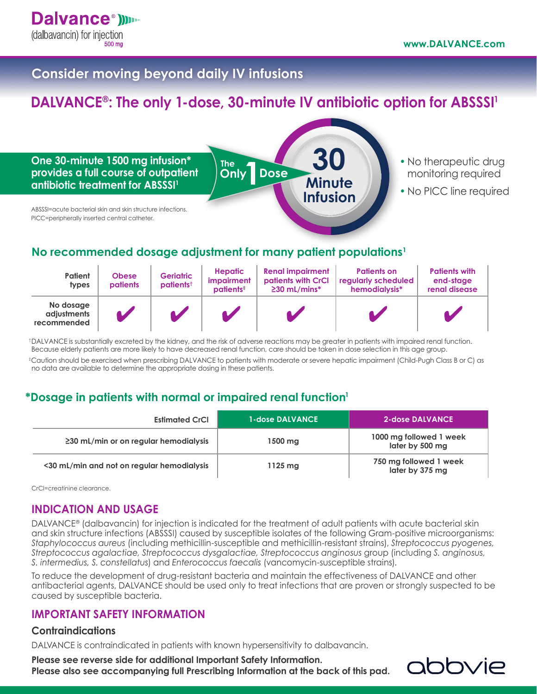## **Consider moving beyond daily IV infusions**

# **DALVANCE®: The only 1-dose, 30-minute IV antibiotic option for ABSSSI<sup>1</sup>**

**Dose**

**30**

**Minute Infusion**

**One 30-minute 1500 mg infusion\* provides a full course of outpatient antibiotic treatment for ABSSSI1**

- **•** No therapeutic drug monitoring required
- **•** No PICC line required

ABSSSI=acute bacterial skin and skin structure infections. PICC=peripherally inserted central catheter.

## **No recommended dosage adjustment for many patient populations1**

**The Only** 

| <b>Patient</b><br>types                 | <b>Obese</b><br>patients | <b>Geriatric</b><br>patients <sup>+</sup> | <b>Hepatic</b><br>impairment<br>$paths‡$ | <b>Renal impairment</b><br>patients with CrCl<br>$\geq$ 30 mL/mins* | <b>Patients on</b><br>regularly scheduled<br>hemodialysis* | <b>Patients with</b><br>end-stage<br>renal disease |
|-----------------------------------------|--------------------------|-------------------------------------------|------------------------------------------|---------------------------------------------------------------------|------------------------------------------------------------|----------------------------------------------------|
| No dosage<br>adjustments<br>recommended |                          |                                           |                                          |                                                                     |                                                            |                                                    |

†DALVANCE is substantially excreted by the kidney, and the risk of adverse reactions may be greater in patients with impaired renal function. Because elderly patients are more likely to have decreased renal function, care should be taken in dose selection in this age group.

‡Caution should be exercised when prescribing DALVANCE to patients with moderate or severe hepatic impairment (Child-Pugh Class B or C) as no data are available to determine the appropriate dosing in these patients.

### **\*Dosage in patients with normal or impaired renal function<sup>1</sup>**

| <b>Estimated CrCl</b>                       | <b>1-dose DALVANCE</b> | 2-dose DALVANCE                            |
|---------------------------------------------|------------------------|--------------------------------------------|
| $\geq$ 30 mL/min or on regular hemodialysis | 1500 mg                | 1000 mg followed 1 week<br>later by 500 mg |
| <30 mL/min and not on regular hemodialysis  | $1125 \text{ mg}$      | 750 mg followed 1 week<br>later by 375 mg  |

CrCl=creatinine clearance.

### **INDICATION AND USAGE**

DALVANCE® (dalbavancin) for injection is indicated for the treatment of adult patients with acute bacterial skin and skin structure infections (ABSSSI) caused by susceptible isolates of the following Gram-positive microorganisms: *Staphylococcus aureus* (including methicillin-susceptible and methicillin-resistant strains), *Streptococcus pyogenes, Streptococcus agalactiae, Streptococcus dysgalactiae, Streptococcus anginosus* group (including *S. anginosus, S. intermedius, S. constellatus*) and *Enterococcus faecalis* (vancomycin-susceptible strains).

To reduce the development of drug-resistant bacteria and maintain the effectiveness of DALVANCE and other antibacterial agents, DALVANCE should be used only to treat infections that are proven or strongly suspected to be caused by susceptible bacteria.

### **IMPORTANT SAFETY INFORMATION**

#### **Contraindications**

DALVANCE is contraindicated in patients with known hypersensitivity to dalbavancin.

#### **Please see reverse side for additional Important Safety Information.**

**Please also see accompanying full Prescribing Information at the back of this pad.**